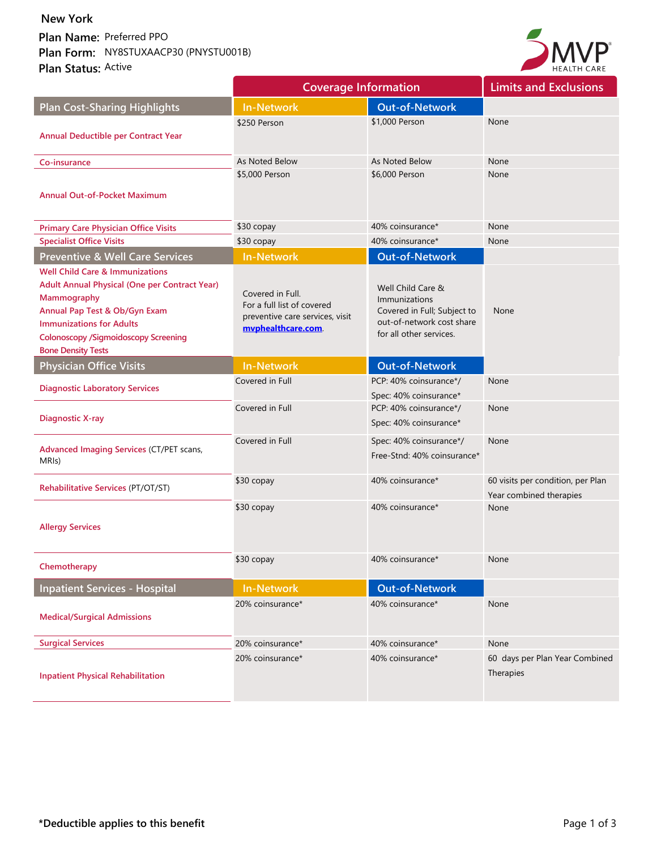Plan Name: Preferred PPO

**Plan Form: Plan Status: Active New York**<br>Plan Name: Preferred PPO<br>Plan Form: NY8STUXAACP30 (PNYSTU001B)<br>Plan Status: <sup>Active</sup>



|                                                                                                                                                                                                                                                            | <b>Coverage Information</b>                                                                            |                                                                                                                           | <b>Limits and Exclusions</b>                                 |
|------------------------------------------------------------------------------------------------------------------------------------------------------------------------------------------------------------------------------------------------------------|--------------------------------------------------------------------------------------------------------|---------------------------------------------------------------------------------------------------------------------------|--------------------------------------------------------------|
| <b>Plan Cost-Sharing Highlights</b>                                                                                                                                                                                                                        | <b>In-Network</b>                                                                                      | <b>Out-of-Network</b>                                                                                                     |                                                              |
| <b>Annual Deductible per Contract Year</b>                                                                                                                                                                                                                 | \$250 Person                                                                                           | \$1,000 Person                                                                                                            | None                                                         |
| Co-insurance                                                                                                                                                                                                                                               | As Noted Below                                                                                         | As Noted Below                                                                                                            | None                                                         |
| <b>Annual Out-of-Pocket Maximum</b>                                                                                                                                                                                                                        | \$5,000 Person                                                                                         | \$6,000 Person                                                                                                            | None                                                         |
| <b>Primary Care Physician Office Visits</b>                                                                                                                                                                                                                | \$30 copay                                                                                             | 40% coinsurance*                                                                                                          | None                                                         |
| <b>Specialist Office Visits</b>                                                                                                                                                                                                                            | \$30 copay                                                                                             | 40% coinsurance*                                                                                                          | None                                                         |
| <b>Preventive &amp; Well Care Services</b>                                                                                                                                                                                                                 | <b>In-Network</b>                                                                                      | <b>Out-of-Network</b>                                                                                                     |                                                              |
| <b>Well Child Care &amp; Immunizations</b><br>Adult Annual Physical (One per Contract Year)<br>Mammography<br>Annual Pap Test & Ob/Gyn Exam<br><b>Immunizations for Adults</b><br><b>Colonoscopy /Sigmoidoscopy Screening</b><br><b>Bone Density Tests</b> | Covered in Full.<br>For a full list of covered<br>preventive care services, visit<br>mvphealthcare.com | Well Child Care &<br>Immunizations<br>Covered in Full; Subject to<br>out-of-network cost share<br>for all other services. | None                                                         |
| <b>Physician Office Visits</b>                                                                                                                                                                                                                             | <b>In-Network</b>                                                                                      | <b>Out-of-Network</b>                                                                                                     |                                                              |
| <b>Diagnostic Laboratory Services</b>                                                                                                                                                                                                                      | Covered in Full                                                                                        | PCP: 40% coinsurance*/<br>Spec: 40% coinsurance*                                                                          | None                                                         |
| <b>Diagnostic X-ray</b>                                                                                                                                                                                                                                    | Covered in Full                                                                                        | PCP: 40% coinsurance*/<br>Spec: 40% coinsurance*                                                                          | None                                                         |
| <b>Advanced Imaging Services (CT/PET scans,</b><br>MRI <sub>s</sub> )                                                                                                                                                                                      | Covered in Full                                                                                        | Spec: 40% coinsurance*/<br>Free-Stnd: 40% coinsurance*                                                                    | None                                                         |
| Rehabilitative Services (PT/OT/ST)                                                                                                                                                                                                                         | \$30 copay                                                                                             | 40% coinsurance*                                                                                                          | 60 visits per condition, per Plan<br>Year combined therapies |
| <b>Allergy Services</b>                                                                                                                                                                                                                                    | \$30 copay                                                                                             | 40% coinsurance*                                                                                                          | None                                                         |
| Chemotherapy                                                                                                                                                                                                                                               | \$30 copay                                                                                             | 40% coinsurance*                                                                                                          | None                                                         |
| <b>Inpatient Services - Hospital</b>                                                                                                                                                                                                                       | <b>In-Network</b>                                                                                      | <b>Out-of-Network</b>                                                                                                     |                                                              |
| <b>Medical/Surgical Admissions</b>                                                                                                                                                                                                                         | 20% coinsurance*                                                                                       | 40% coinsurance*                                                                                                          | None                                                         |
| <b>Surgical Services</b>                                                                                                                                                                                                                                   | 20% coinsurance*                                                                                       | 40% coinsurance*                                                                                                          | None                                                         |
| <b>Inpatient Physical Rehabilitation</b>                                                                                                                                                                                                                   | 20% coinsurance*                                                                                       | 40% coinsurance*                                                                                                          | 60 days per Plan Year Combined<br>Therapies                  |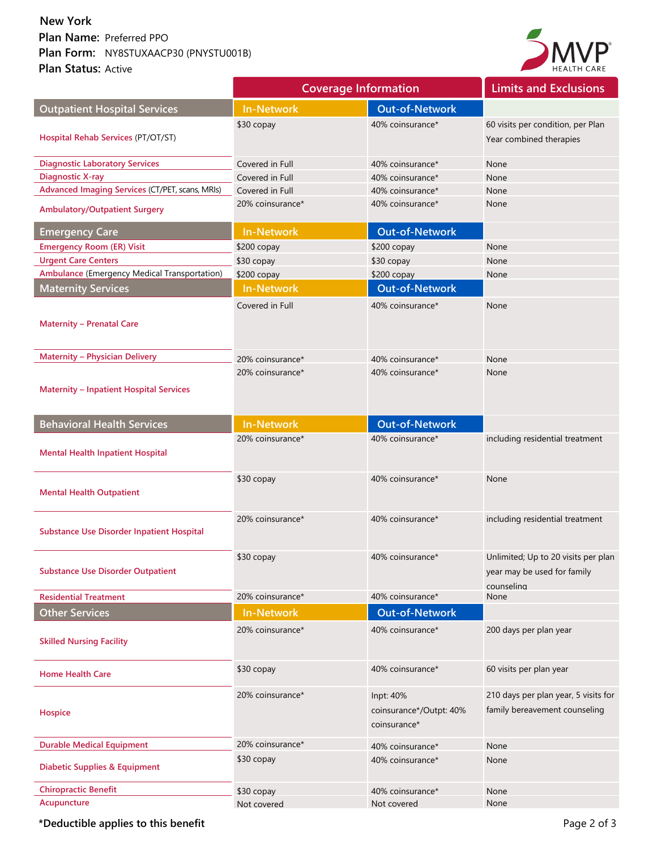## **Plan Name: Plan Form: Plan Status: Active New York<br>Plan Name:** Preferred PPO<br>**Plan Form:** NY8STUXAACP30 (PNYSTU001B)<br>**Plan Status:** Active



|                                                     | <b>Coverage Information</b> |                                                      | <b>Limits and Exclusions</b>                                                     |
|-----------------------------------------------------|-----------------------------|------------------------------------------------------|----------------------------------------------------------------------------------|
| <b>Outpatient Hospital Services</b>                 | <b>In-Network</b>           | <b>Out-of-Network</b>                                |                                                                                  |
| Hospital Rehab Services (PT/OT/ST)                  | \$30 copay                  | 40% coinsurance*                                     | 60 visits per condition, per Plan<br>Year combined therapies                     |
| <b>Diagnostic Laboratory Services</b>               | Covered in Full             | 40% coinsurance*                                     | None                                                                             |
| <b>Diagnostic X-ray</b>                             | Covered in Full             | 40% coinsurance*                                     | None                                                                             |
| Advanced Imaging Services (CT/PET, scans, MRIs)     | Covered in Full             | 40% coinsurance*                                     | None                                                                             |
| <b>Ambulatory/Outpatient Surgery</b>                | 20% coinsurance*            | 40% coinsurance*                                     | None                                                                             |
| <b>Emergency Care</b>                               | <b>In-Network</b>           | <b>Out-of-Network</b>                                |                                                                                  |
| <b>Emergency Room (ER) Visit</b>                    | \$200 copay                 | \$200 copay                                          | None                                                                             |
| <b>Urgent Care Centers</b>                          | \$30 copay                  | \$30 copay                                           | None                                                                             |
| <b>Ambulance (Emergency Medical Transportation)</b> | \$200 copay                 | \$200 copay                                          | None                                                                             |
| <b>Maternity Services</b>                           | <b>In-Network</b>           | <b>Out-of-Network</b>                                |                                                                                  |
| <b>Maternity - Prenatal Care</b>                    | Covered in Full             | 40% coinsurance*                                     | None                                                                             |
| <b>Maternity - Physician Delivery</b>               | 20% coinsurance*            | 40% coinsurance*                                     | None                                                                             |
| <b>Maternity - Inpatient Hospital Services</b>      | 20% coinsurance*            | 40% coinsurance*                                     | None                                                                             |
| <b>Behavioral Health Services</b>                   | <b>In-Network</b>           | <b>Out-of-Network</b>                                |                                                                                  |
| <b>Mental Health Inpatient Hospital</b>             | 20% coinsurance*            | 40% coinsurance*                                     | including residential treatment                                                  |
| <b>Mental Health Outpatient</b>                     | \$30 copay                  | 40% coinsurance*                                     | None                                                                             |
| <b>Substance Use Disorder Inpatient Hospital</b>    | 20% coinsurance*            | 40% coinsurance*                                     | including residential treatment                                                  |
| <b>Substance Use Disorder Outpatient</b>            | \$30 copay                  | 40% coinsurance*                                     | Unlimited; Up to 20 visits per plan<br>year may be used for family<br>counseling |
| <b>Residential Treatment</b>                        | 20% coinsurance*            | 40% coinsurance*                                     | None                                                                             |
| <b>Other Services</b>                               | <b>In-Network</b>           | <b>Out-of-Network</b>                                |                                                                                  |
| <b>Skilled Nursing Facility</b>                     | 20% coinsurance*            | 40% coinsurance*                                     | 200 days per plan year                                                           |
| <b>Home Health Care</b>                             | \$30 copay                  | 40% coinsurance*                                     | 60 visits per plan year                                                          |
| <b>Hospice</b>                                      | 20% coinsurance*            | Inpt: 40%<br>coinsurance*/Outpt: 40%<br>coinsurance* | 210 days per plan year, 5 visits for<br>family bereavement counseling            |
| <b>Durable Medical Equipment</b>                    | 20% coinsurance*            | 40% coinsurance*                                     | None                                                                             |
| <b>Diabetic Supplies &amp; Equipment</b>            | \$30 copay                  | 40% coinsurance*                                     | None                                                                             |
| <b>Chiropractic Benefit</b>                         | \$30 copay                  | 40% coinsurance*                                     | None                                                                             |
| Acupuncture                                         | Not covered                 | Not covered                                          | None                                                                             |

\*Deductible applies to this benefit **Page 2 of 3** and  $\blacksquare$  Page 2 of 3